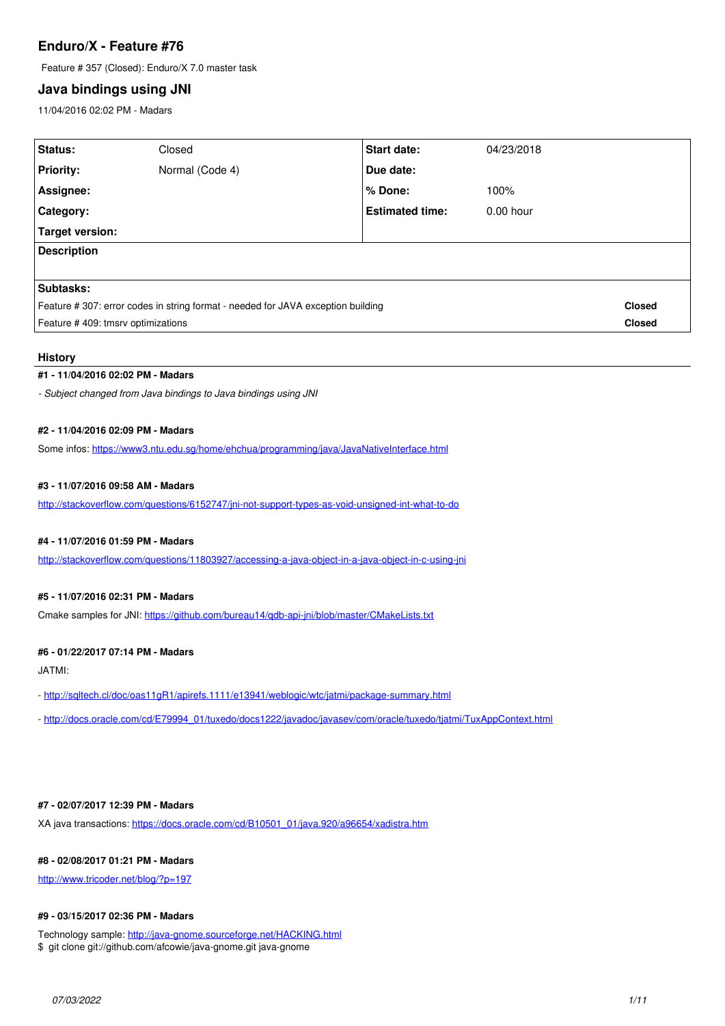# **Enduro/X - Feature #76**

Feature # 357 (Closed): Enduro/X 7.0 master task

# **Java bindings using JNI**

11/04/2016 02:02 PM - Madars

| Status:                                                                         | Closed          | <b>Start date:</b>     | 04/23/2018  |               |
|---------------------------------------------------------------------------------|-----------------|------------------------|-------------|---------------|
| <b>Priority:</b>                                                                | Normal (Code 4) | Due date:              |             |               |
| Assignee:                                                                       |                 | ∣% Done:               | 100%        |               |
| Category:                                                                       |                 | <b>Estimated time:</b> | $0.00$ hour |               |
| Target version:                                                                 |                 |                        |             |               |
| <b>Description</b>                                                              |                 |                        |             |               |
|                                                                                 |                 |                        |             |               |
| <b>Subtasks:</b>                                                                |                 |                        |             |               |
| Feature #307: error codes in string format - needed for JAVA exception building |                 |                        |             | <b>Closed</b> |
| Feature #409: tmsrv optimizations                                               |                 |                        |             | <b>Closed</b> |

## **History**

## **#1 - 11/04/2016 02:02 PM - Madars**

*- Subject changed from Java bindings to Java bindings using JNI*

## **#2 - 11/04/2016 02:09 PM - Madars**

Some infos: <https://www3.ntu.edu.sg/home/ehchua/programming/java/JavaNativeInterface.html>

## **#3 - 11/07/2016 09:58 AM - Madars**

<http://stackoverflow.com/questions/6152747/jni-not-support-types-as-void-unsigned-int-what-to-do>

## **#4 - 11/07/2016 01:59 PM - Madars**

<http://stackoverflow.com/questions/11803927/accessing-a-java-object-in-a-java-object-in-c-using-jni>

# **#5 - 11/07/2016 02:31 PM - Madars**

Cmake samples for JNI: <https://github.com/bureau14/qdb-api-jni/blob/master/CMakeLists.txt>

#### **#6 - 01/22/2017 07:14 PM - Madars**

JATMI:

- -<http://sqltech.cl/doc/oas11gR1/apirefs.1111/e13941/weblogic/wtc/jatmi/package-summary.html>
- - [http://docs.oracle.com/cd/E79994\\_01/tuxedo/docs1222/javadoc/javasev/com/oracle/tuxedo/tjatmi/TuxAppContext.html](http://docs.oracle.com/cd/E79994_01/tuxedo/docs1222/javadoc/javasev/com/oracle/tuxedo/tjatmi/TuxAppContext.html)

## **#7 - 02/07/2017 12:39 PM - Madars**

XA java transactions: [https://docs.oracle.com/cd/B10501\\_01/java.920/a96654/xadistra.htm](https://docs.oracle.com/cd/B10501_01/java.920/a96654/xadistra.htm)

# **#8 - 02/08/2017 01:21 PM - Madars**

<http://www.tricoder.net/blog/?p=197>

# **#9 - 03/15/2017 02:36 PM - Madars**

Technology sample: <http://java-gnome.sourceforge.net/HACKING.html> \$ git clone git://github.com/afcowie/java-gnome.git java-gnome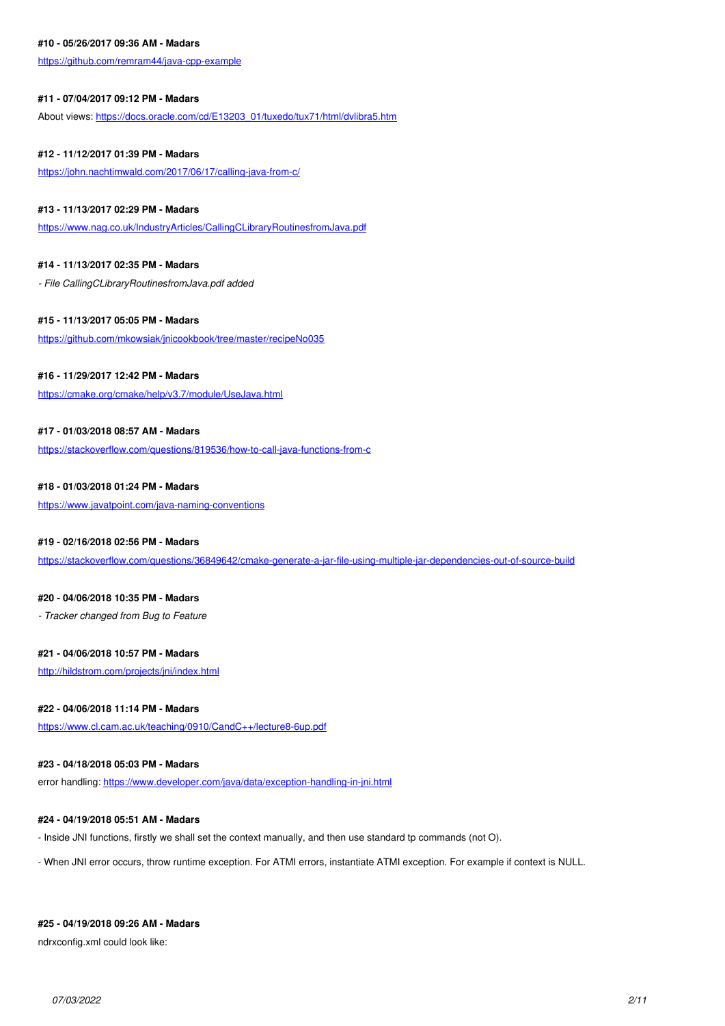#### **#10 - 05/26/2017 09:36 AM - Madars**

<https://github.com/remram44/java-cpp-example>

### **#11 - 07/04/2017 09:12 PM - Madars**

About views: [https://docs.oracle.com/cd/E13203\\_01/tuxedo/tux71/html/dvlibra5.htm](https://docs.oracle.com/cd/E13203_01/tuxedo/tux71/html/dvlibra5.htm)

## **#12 - 11/12/2017 01:39 PM - Madars**

<https://john.nachtimwald.com/2017/06/17/calling-java-from-c/>

## **#13 - 11/13/2017 02:29 PM - Madars**

<https://www.nag.co.uk/IndustryArticles/CallingCLibraryRoutinesfromJava.pdf>

## **#14 - 11/13/2017 02:35 PM - Madars**

*- File CallingCLibraryRoutinesfromJava.pdf added*

## **#15 - 11/13/2017 05:05 PM - Madars**

<https://github.com/mkowsiak/jnicookbook/tree/master/recipeNo035>

### **#16 - 11/29/2017 12:42 PM - Madars**

<https://cmake.org/cmake/help/v3.7/module/UseJava.html>

## **#17 - 01/03/2018 08:57 AM - Madars**

<https://stackoverflow.com/questions/819536/how-to-call-java-functions-from-c>

## **#18 - 01/03/2018 01:24 PM - Madars**

<https://www.javatpoint.com/java-naming-conventions>

## **#19 - 02/16/2018 02:56 PM - Madars**

<https://stackoverflow.com/questions/36849642/cmake-generate-a-jar-file-using-multiple-jar-dependencies-out-of-source-build>

### **#20 - 04/06/2018 10:35 PM - Madars**

*- Tracker changed from Bug to Feature*

## **#21 - 04/06/2018 10:57 PM - Madars**

<http://hildstrom.com/projects/jni/index.html>

### **#22 - 04/06/2018 11:14 PM - Madars**

<https://www.cl.cam.ac.uk/teaching/0910/CandC++/lecture8-6up.pdf>

## **#23 - 04/18/2018 05:03 PM - Madars**

error handling: <https://www.developer.com/java/data/exception-handling-in-jni.html>

#### **#24 - 04/19/2018 05:51 AM - Madars**

- Inside JNI functions, firstly we shall set the context manually, and then use standard tp commands (not O).
- When JNI error occurs, throw runtime exception. For ATMI errors, instantiate ATMI exception. For example if context is NULL.

## **#25 - 04/19/2018 09:26 AM - Madars**

ndrxconfig.xml could look like: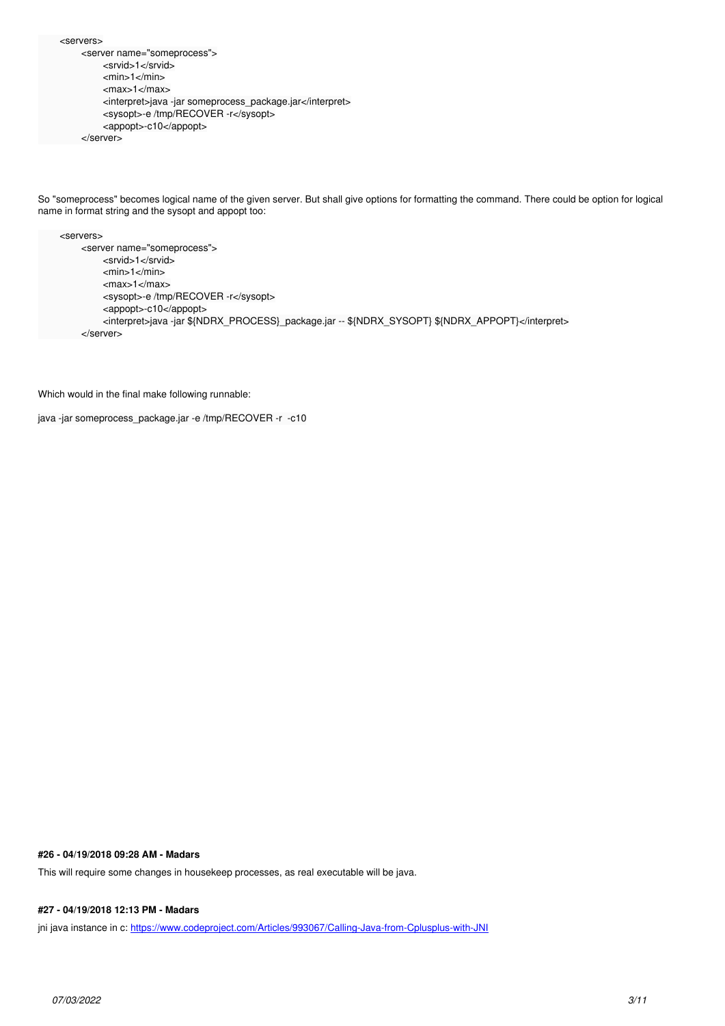<servers> <server name="someprocess"> <srvid>1</srvid> <min>1</min> <max>1</max> <interpret>java -jar someprocess\_package.jar</interpret> <sysopt>-e /tmp/RECOVER -r</sysopt> <appopt>-c10</appopt> </server>

So "someprocess" becomes logical name of the given server. But shall give options for formatting the command. There could be option for logical name in format string and the sysopt and appopt too:

```
 <servers>
    <server name="someprocess">
        <srvid>1</srvid>
         <min>1</min>
        <max>1</max>
        <sysopt>-e /tmp/RECOVER -r</sysopt>
        <appopt>-c10</appopt>
        <interpret>java -jar ${NDRX_PROCESS}_package.jar -- ${NDRX_SYSOPT} ${NDRX_APPOPT}</interpret>
    </server>
```
Which would in the final make following runnable:

```
java -jar someprocess_package.jar -e /tmp/RECOVER -r -c10
```
# **#26 - 04/19/2018 09:28 AM - Madars**

This will require some changes in housekeep processes, as real executable will be java.

# **#27 - 04/19/2018 12:13 PM - Madars**

jni java instance in c:<https://www.codeproject.com/Articles/993067/Calling-Java-from-Cplusplus-with-JNI>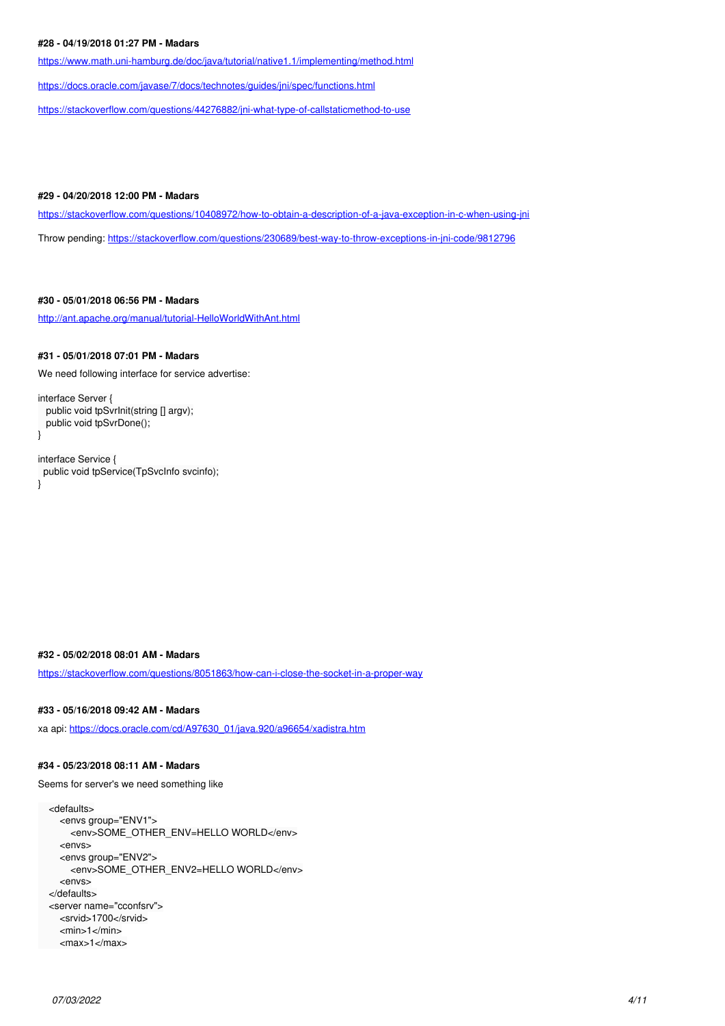## **#28 - 04/19/2018 01:27 PM - Madars**

<https://www.math.uni-hamburg.de/doc/java/tutorial/native1.1/implementing/method.html>

<https://docs.oracle.com/javase/7/docs/technotes/guides/jni/spec/functions.html>

<https://stackoverflow.com/questions/44276882/jni-what-type-of-callstaticmethod-to-use>

## **#29 - 04/20/2018 12:00 PM - Madars**

<https://stackoverflow.com/questions/10408972/how-to-obtain-a-description-of-a-java-exception-in-c-when-using-jni>

Throw pending: <https://stackoverflow.com/questions/230689/best-way-to-throw-exceptions-in-jni-code/9812796>

## **#30 - 05/01/2018 06:56 PM - Madars**

<http://ant.apache.org/manual/tutorial-HelloWorldWithAnt.html>

### **#31 - 05/01/2018 07:01 PM - Madars**

We need following interface for service advertise:

interface Server { public void tpSvrInit(string [] argv); public void tpSvrDone(); }

interface Service { public void tpService(TpSvcInfo svcinfo); }

## **#32 - 05/02/2018 08:01 AM - Madars**

<https://stackoverflow.com/questions/8051863/how-can-i-close-the-socket-in-a-proper-way>

#### **#33 - 05/16/2018 09:42 AM - Madars**

xa api: [https://docs.oracle.com/cd/A97630\\_01/java.920/a96654/xadistra.htm](https://docs.oracle.com/cd/A97630_01/java.920/a96654/xadistra.htm)

## **#34 - 05/23/2018 08:11 AM - Madars**

Seems for server's we need something like

 <defaults> <envs group="ENV1"> <env>SOME\_OTHER\_ENV=HELLO WORLD</env> <envs> <envs group="ENV2"> <env>SOME\_OTHER\_ENV2=HELLO WORLD</env> <envs> </defaults> <server name="cconfsrv"> <srvid>1700</srvid> <min>1</min> <max>1</max>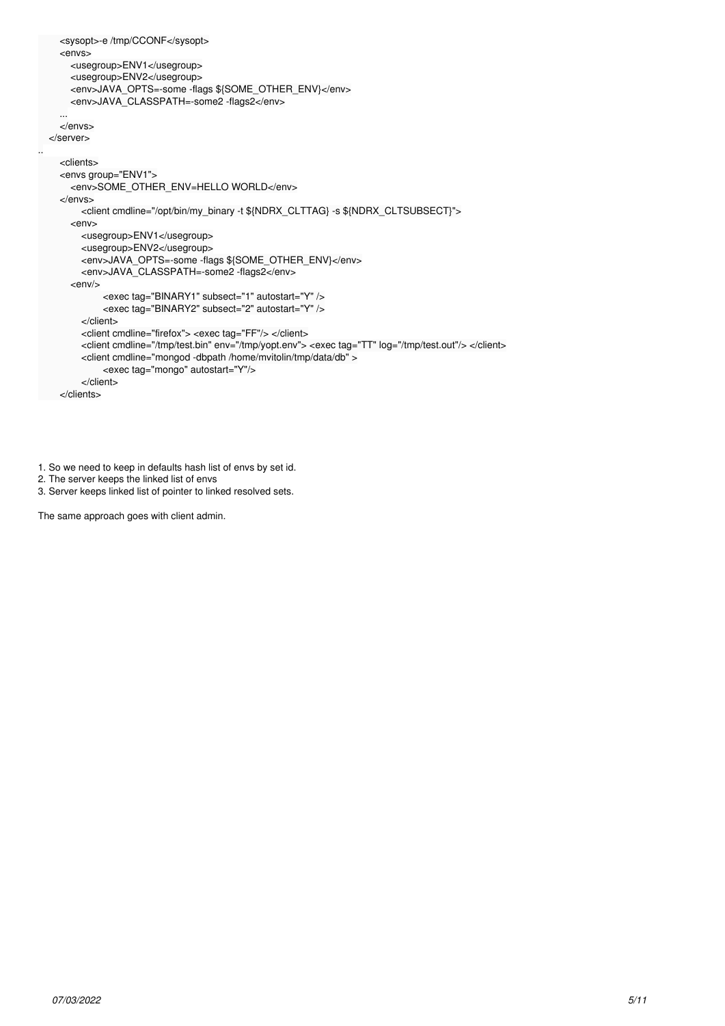```
 <sysopt>-e /tmp/CCONF</sysopt>
    <envs>
      <usegroup>ENV1</usegroup>
      <usegroup>ENV2</usegroup>
     <env>JAVA_OPTS=-some -flags ${SOME_OTHER_ENV}</env>
      <env>JAVA_CLASSPATH=-some2 -flags2</env>
...
    </envs>
  </server>
    <clients>
    <envs group="ENV1">
     <env>SOME_OTHER_ENV=HELLO WORLD</env>
    </envs>
       <client cmdline="/opt/bin/my_binary -t ${NDRX_CLTTAG} -s ${NDRX_CLTSUBSECT}">
      <env>
        <usegroup>ENV1</usegroup>
        <usegroup>ENV2</usegroup>
        <env>JAVA_OPTS=-some -flags ${SOME_OTHER_ENV}</env>
        <env>JAVA_CLASSPATH=-some2 -flags2</env>
     <env/>
             <exec tag="BINARY1" subsect="1" autostart="Y" />
             <exec tag="BINARY2" subsect="2" autostart="Y" />
        </client>
        <client cmdline="firefox"> <exec tag="FF"/> </client>
        <client cmdline="/tmp/test.bin" env="/tmp/yopt.env"> <exec tag="TT" log="/tmp/test.out"/> </client>
       <client cmdline="mongod -dbpath /home/mvitolin/tmp/data/db" >
             <exec tag="mongo" autostart="Y"/>
        </client>
    </clients>
```
1. So we need to keep in defaults hash list of envs by set id.

```
2. The server keeps the linked list of envs
```
..

3. Server keeps linked list of pointer to linked resolved sets.

The same approach goes with client admin.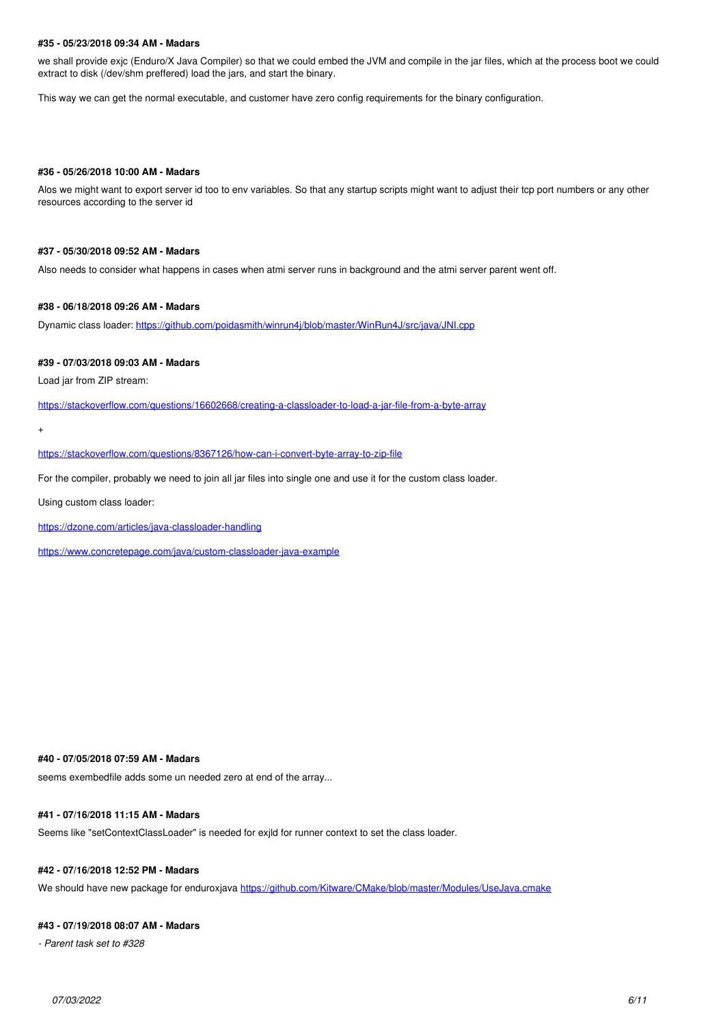#### **#35 - 05/23/2018 09:34 AM - Madars**

we shall provide exjc (Enduro/X Java Compiler) so that we could embed the JVM and compile in the jar files, which at the process boot we could extract to disk (/dev/shm preffered) load the jars, and start the binary.

This way we can get the normal executable, and customer have zero config requirements for the binary configuration.

### **#36 - 05/26/2018 10:00 AM - Madars**

Alos we might want to export server id too to env variables. So that any startup scripts might want to adjust their tcp port numbers or any other resources according to the server id

#### **#37 - 05/30/2018 09:52 AM - Madars**

Also needs to consider what happens in cases when atmi server runs in background and the atmi server parent went off.

#### **#38 - 06/18/2018 09:26 AM - Madars**

Dynamic class loader: <https://github.com/poidasmith/winrun4j/blob/master/WinRun4J/src/java/JNI.cpp>

#### **#39 - 07/03/2018 09:03 AM - Madars**

Load jar from ZIP stream:

<https://stackoverflow.com/questions/16602668/creating-a-classloader-to-load-a-jar-file-from-a-byte-array>

+

<https://stackoverflow.com/questions/8367126/how-can-i-convert-byte-array-to-zip-file>

For the compiler, probably we need to join all jar files into single one and use it for the custom class loader.

Using custom class loader:

<https://dzone.com/articles/java-classloader-handling>

<https://www.concretepage.com/java/custom-classloader-java-example>

#### **#40 - 07/05/2018 07:59 AM - Madars**

seems exembedfile adds some un needed zero at end of the array...

## **#41 - 07/16/2018 11:15 AM - Madars**

Seems like "setContextClassLoader" is needed for exjld for runner context to set the class loader.

## **#42 - 07/16/2018 12:52 PM - Madars**

We should have new package for enduroxiava<https://github.com/Kitware/CMake/blob/master/Modules/UseJava.cmake>

#### **#43 - 07/19/2018 08:07 AM - Madars**

*- Parent task set to #328*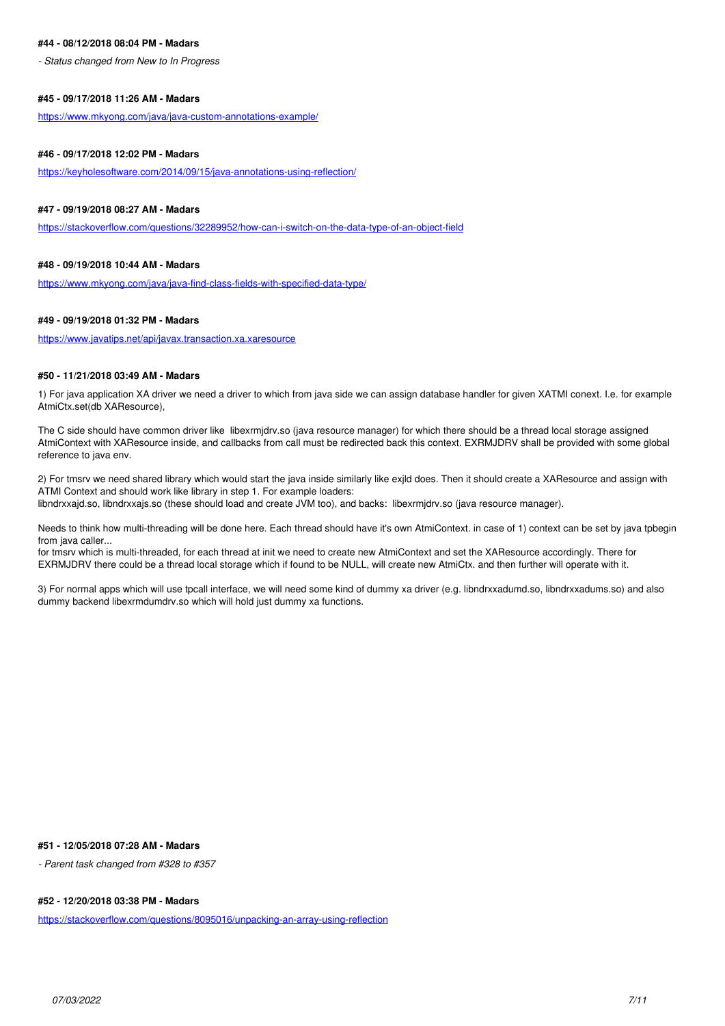### **#44 - 08/12/2018 08:04 PM - Madars**

*- Status changed from New to In Progress*

### **#45 - 09/17/2018 11:26 AM - Madars**

<https://www.mkyong.com/java/java-custom-annotations-example/>

### **#46 - 09/17/2018 12:02 PM - Madars**

<https://keyholesoftware.com/2014/09/15/java-annotations-using-reflection/>

## **#47 - 09/19/2018 08:27 AM - Madars**

<https://stackoverflow.com/questions/32289952/how-can-i-switch-on-the-data-type-of-an-object-field>

## **#48 - 09/19/2018 10:44 AM - Madars**

<https://www.mkyong.com/java/java-find-class-fields-with-specified-data-type/>

#### **#49 - 09/19/2018 01:32 PM - Madars**

<https://www.javatips.net/api/javax.transaction.xa.xaresource>

#### **#50 - 11/21/2018 03:49 AM - Madars**

1) For java application XA driver we need a driver to which from java side we can assign database handler for given XATMI conext. I.e. for example AtmiCtx.set(db XAResource),

The C side should have common driver like libexrmjdrv.so (java resource manager) for which there should be a thread local storage assigned AtmiContext with XAResource inside, and callbacks from call must be redirected back this context. EXRMJDRV shall be provided with some global reference to java env.

2) For tmsrv we need shared library which would start the java inside similarly like exjld does. Then it should create a XAResource and assign with ATMI Context and should work like library in step 1. For example loaders:

libndrxxajd.so, libndrxxajs.so (these should load and create JVM too), and backs: libexrmjdrv.so (java resource manager).

Needs to think how multi-threading will be done here. Each thread should have it's own AtmiContext. in case of 1) context can be set by java tpbegin from java caller...

for tmsrv which is multi-threaded, for each thread at init we need to create new AtmiContext and set the XAResource accordingly. There for EXRMJDRV there could be a thread local storage which if found to be NULL, will create new AtmiCtx. and then further will operate with it.

3) For normal apps which will use tpcall interface, we will need some kind of dummy xa driver (e.g. libndrxxadumd.so, libndrxxadums.so) and also dummy backend libexrmdumdrv.so which will hold just dummy xa functions.

## **#51 - 12/05/2018 07:28 AM - Madars**

*- Parent task changed from #328 to #357*

## **#52 - 12/20/2018 03:38 PM - Madars**

<https://stackoverflow.com/questions/8095016/unpacking-an-array-using-reflection>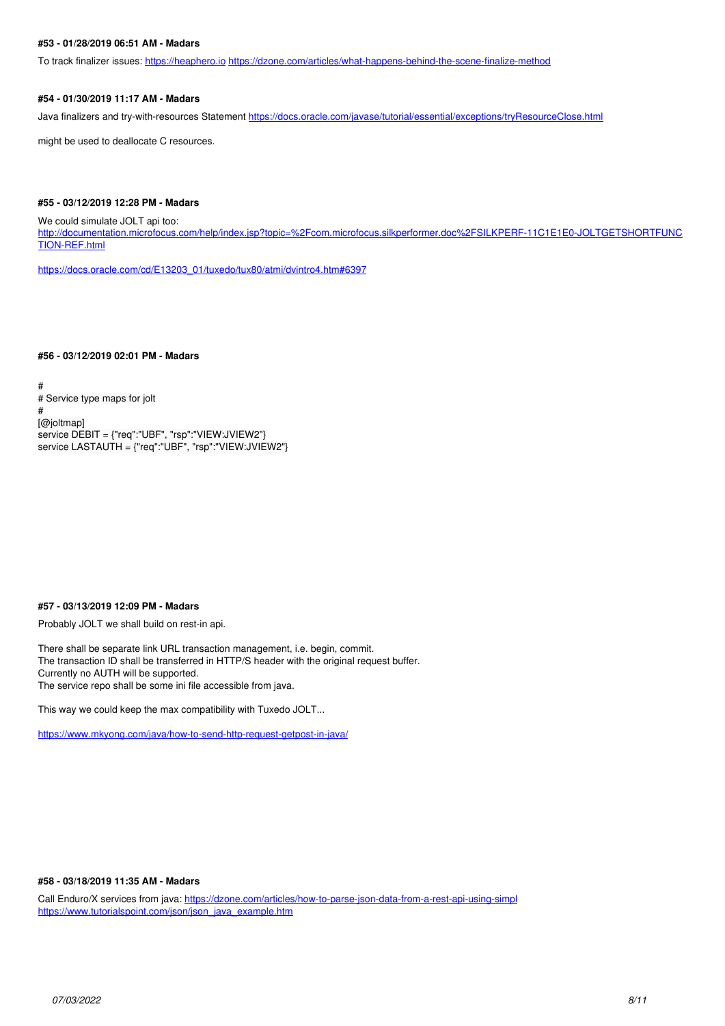## **#53 - 01/28/2019 06:51 AM - Madars**

To track finalizer issues:<https://heaphero.io> <https://dzone.com/articles/what-happens-behind-the-scene-finalize-method>

## **#54 - 01/30/2019 11:17 AM - Madars**

Java finalizers and try-with-resources Statement<https://docs.oracle.com/javase/tutorial/essential/exceptions/tryResourceClose.html>

might be used to deallocate C resources.

### **#55 - 03/12/2019 12:28 PM - Madars**

We could simulate JOLT api too:

[http://documentation.microfocus.com/help/index.jsp?topic=%2Fcom.microfocus.silkperformer.doc%2FSILKPERF-11C1E1E0-JOLTGETSHORTFUNC](http://documentation.microfocus.com/help/index.jsp?topic=%2Fcom.microfocus.silkperformer.doc%2FSILKPERF-11C1E1E0-JOLTGETSHORTFUNCTION-REF.html) [TION-REF.html](http://documentation.microfocus.com/help/index.jsp?topic=%2Fcom.microfocus.silkperformer.doc%2FSILKPERF-11C1E1E0-JOLTGETSHORTFUNCTION-REF.html)

[https://docs.oracle.com/cd/E13203\\_01/tuxedo/tux80/atmi/dvintro4.htm#6397](https://docs.oracle.com/cd/E13203_01/tuxedo/tux80/atmi/dvintro4.htm#6397)

#### **#56 - 03/12/2019 02:01 PM - Madars**

# # Service type maps for jolt # [@joltmap] service DEBIT = {"req":"UBF", "rsp":"VIEW:JVIEW2"} service LASTAUTH = {"req":"UBF", "rsp":"VIEW:JVIEW2"}

## **#57 - 03/13/2019 12:09 PM - Madars**

Probably JOLT we shall build on rest-in api.

There shall be separate link URL transaction management, i.e. begin, commit. The transaction ID shall be transferred in HTTP/S header with the original request buffer. Currently no AUTH will be supported. The service repo shall be some ini file accessible from java.

This way we could keep the max compatibility with Tuxedo JOLT...

<https://www.mkyong.com/java/how-to-send-http-request-getpost-in-java/>

#### **#58 - 03/18/2019 11:35 AM - Madars**

Call Enduro/X services from java: <https://dzone.com/articles/how-to-parse-json-data-from-a-rest-api-using-simpl> [https://www.tutorialspoint.com/json/json\\_java\\_example.htm](https://www.tutorialspoint.com/json/json_java_example.htm)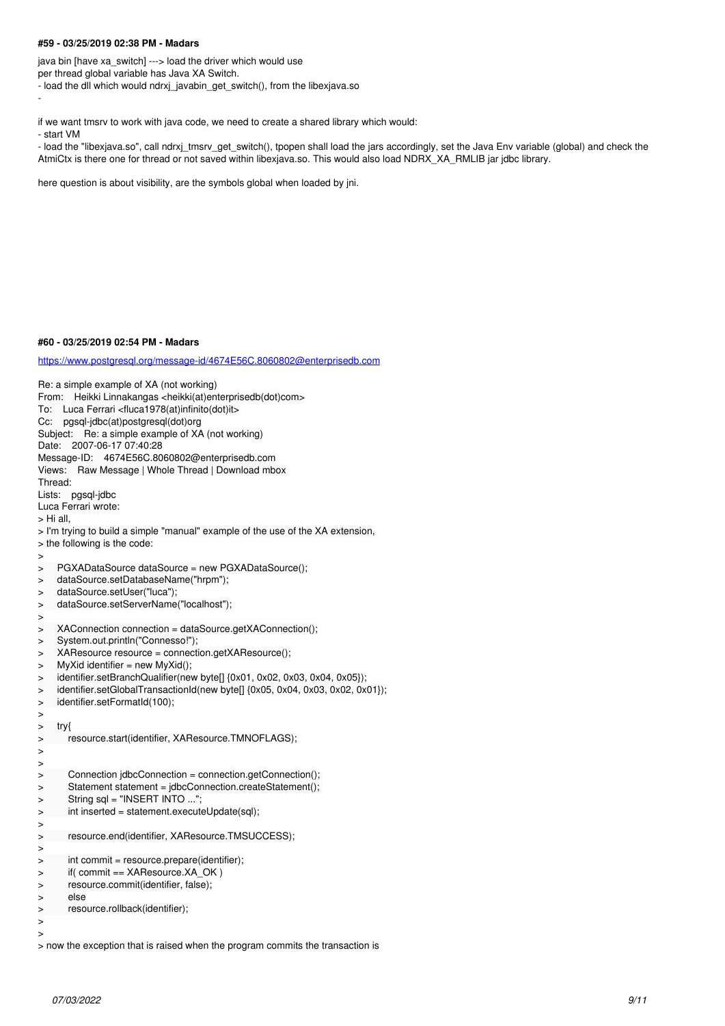### **#59 - 03/25/2019 02:38 PM - Madars**

java bin [have xa\_switch] ---> load the driver which would use per thread global variable has Java XA Switch. - load the dll which would ndrxj\_javabin\_get\_switch(), from the libexjava.so

-

if we want tmsrv to work with java code, we need to create a shared library which would:

- start VM

- load the "libexjava.so", call ndrxj\_tmsrv\_get\_switch(), tpopen shall load the jars accordingly, set the Java Env variable (global) and check the AtmiCtx is there one for thread or not saved within libexjava.so. This would also load NDRX\_XA\_RMLIB jar jdbc library.

here question is about visibility, are the symbols global when loaded by jni.

#### **#60 - 03/25/2019 02:54 PM - Madars**

<https://www.postgresql.org/message-id/4674E56C.8060802@enterprisedb.com>

Re: a simple example of XA (not working) From: Heikki Linnakangas <heikki(at)enterprisedb(dot)com> To: Luca Ferrari <fluca1978(at)infinito(dot)it> Cc: pgsql-jdbc(at)postgresql(dot)org Subject: Re: a simple example of XA (not working) Date: 2007-06-17 07:40:28 Message-ID: 4674E56C.8060802@enterprisedb.com Views: Raw Message | Whole Thread | Download mbox Thread: Lists: pgsql-jdbc Luca Ferrari wrote: > Hi all, > I'm trying to build a simple "manual" example of the use of the XA extension, > the following is the code: > > PGXADataSource dataSource = new PGXADataSource(); > dataSource.setDatabaseName("hrpm"); > dataSource.setUser("luca"); > dataSource.setServerName("localhost"); > > XAConnection connection = dataSource.getXAConnection(); > System.out.println("Connesso!"); > XAResource resource = connection.getXAResource();  $>$  MyXid identifier = new MyXid(); > identifier.setBranchQualifier(new bytel] {0x01, 0x02, 0x03, 0x04, 0x05}); > identifier.setGlobalTransactionId(new byte[] {0x05, 0x04, 0x03, 0x02, 0x01});<br>> identifier.setFormatId(100); identifier.setFormatId(100); > > try{ resource.start(identifier, XAResource.TMNOFLAGS); > > > Connection jdbcConnection = connection.getConnection(); > Statement statement = jdbcConnection.createStatement(); > String sql = "INSERT INTO ..."; > int inserted = statement.executeUpdate(sql); > > resource.end(identifier, XAResource.TMSUCCESS); > > int commit = resource.prepare(identifier); > if( commit == XAResource.XA\_OK ) > resource.commit(identifier, false); > else > resource.rollback(identifier); >  $\overline{\phantom{a}}$ 

> now the exception that is raised when the program commits the transaction is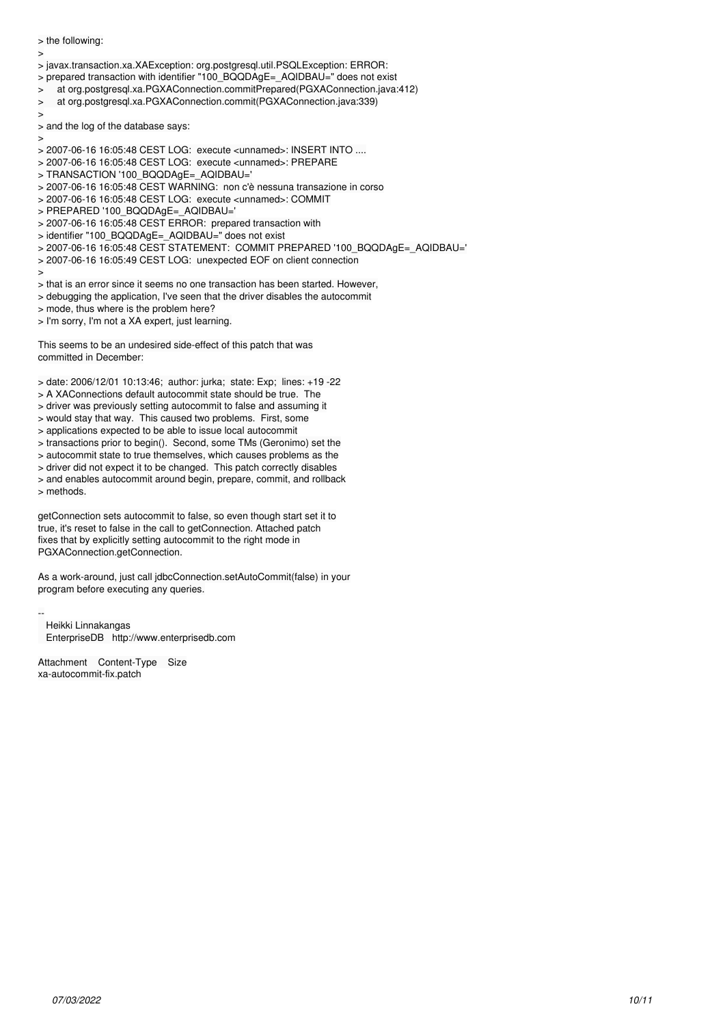> the following:

- >
- > javax.transaction.xa.XAException: org.postgresql.util.PSQLException: ERROR:
- > prepared transaction with identifier "100\_BQQDAgE=\_AQIDBAU=" does not exist
- > at org.postgresql.xa.PGXAConnection.commitPrepared(PGXAConnection.java:412)
- > at org.postgresql.xa.PGXAConnection.commit(PGXAConnection.java:339)
- $\overline{\phantom{a}}$
- > and the log of the database says:

>

- > 2007-06-16 16:05:48 CEST LOG: execute <unnamed>: INSERT INTO ....
- > 2007-06-16 16:05:48 CEST LOG: execute <unnamed>: PREPARE
- > TRANSACTION '100\_BQQDAgE=\_AQIDBAU='
- > 2007-06-16 16:05:48 CEST WARNING: non c'è nessuna transazione in corso
- > 2007-06-16 16:05:48 CEST LOG: execute <unnamed>: COMMIT
- > PREPARED '100\_BQQDAgE=\_AQIDBAU='
- $>$  2007-06-16 16:05:48 CEST ERROR: prepared transaction with
- > identifier "100\_BQQDAgE=\_AQIDBAU=" does not exist
- > 2007-06-16 16:05:48 CEST STATEMENT: COMMIT PREPARED '100\_BQQDAgE=\_AQIDBAU='
- > 2007-06-16 16:05:49 CEST LOG: unexpected EOF on client connection
- >
- > that is an error since it seems no one transaction has been started. However,
- > debugging the application, I've seen that the driver disables the autocommit
- > mode, thus where is the problem here?
- > I'm sorry, I'm not a XA expert, just learning.

This seems to be an undesired side-effect of this patch that was committed in December:

- > date: 2006/12/01 10:13:46; author: jurka; state: Exp; lines: +19 -22
- > A XAConnections default autocommit state should be true. The
- > driver was previously setting autocommit to false and assuming it
- > would stay that way. This caused two problems. First, some
- > applications expected to be able to issue local autocommit
- > transactions prior to begin(). Second, some TMs (Geronimo) set the
- > autocommit state to true themselves, which causes problems as the
- > driver did not expect it to be changed. This patch correctly disables
- > and enables autocommit around begin, prepare, commit, and rollback > methods.

getConnection sets autocommit to false, so even though start set it to true, it's reset to false in the call to getConnection. Attached patch fixes that by explicitly setting autocommit to the right mode in PGXAConnection.getConnection.

As a work-around, just call jdbcConnection.setAutoCommit(false) in your program before executing any queries.

-- Heikki Linnakangas EnterpriseDB http://www.enterprisedb.com

Attachment Content-Type Size xa-autocommit-fix.patch